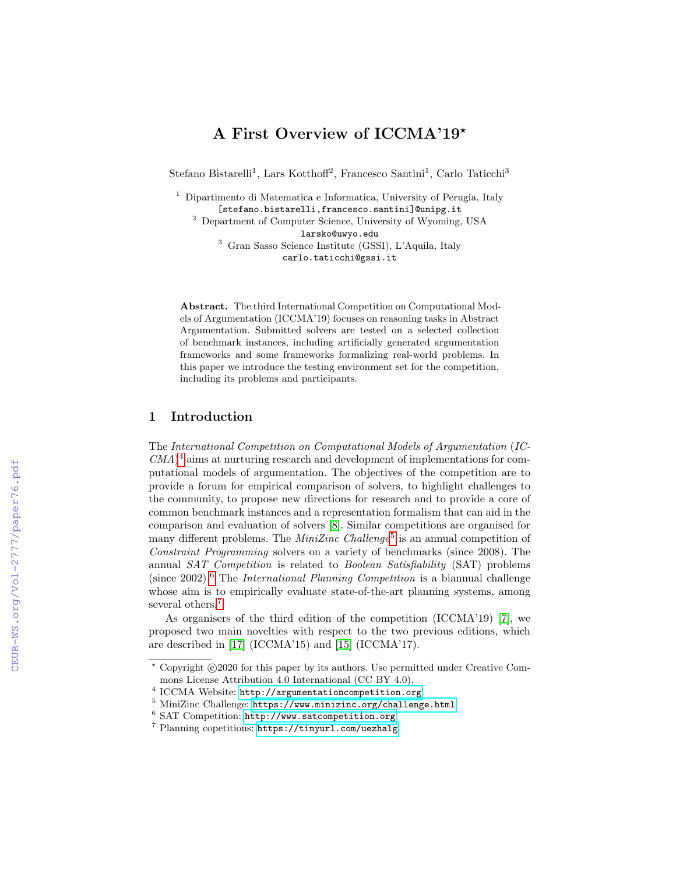# A First Overview of ICCMA'19\*

Stefano Bistarelli<sup>1</sup>, Lars Kotthoff<sup>2</sup>, Francesco Santini<sup>1</sup>, Carlo Taticchi<sup>3</sup>

<sup>1</sup> Dipartimento di Matematica e Informatica, University of Perugia, Italy [stefano.bistarelli,francesco.santini]@unipg.it

<sup>2</sup> Department of Computer Science, University of Wyoming, USA larsko@uwyo.edu

<sup>3</sup> Gran Sasso Science Institute (GSSI), L'Aquila, Italy carlo.taticchi@gssi.it

Abstract. The third International Competition on Computational Models of Argumentation (ICCMA'19) focuses on reasoning tasks in Abstract Argumentation. Submitted solvers are tested on a selected collection of benchmark instances, including artificially generated argumentation frameworks and some frameworks formalizing real-world problems. In this paper we introduce the testing environment set for the competition, including its problems and participants.

### 1 Introduction

The International Competition on Computational Models of Argumentation (IC- $CMA$ <sup>[4](#page-0-0)</sup> aims at nurturing research and development of implementations for computational models of argumentation. The objectives of the competition are to provide a forum for empirical comparison of solvers, to highlight challenges to the community, to propose new directions for research and to provide a core of common benchmark instances and a representation formalism that can aid in the comparison and evaluation of solvers [\[8\]](#page--1-0). Similar competitions are organised for many different problems. The  $Min Zinc$  Challenge<sup>[5](#page-0-1)</sup> is an annual competition of Constraint Programming solvers on a variety of benchmarks (since 2008). The annual SAT Competition is related to Boolean Satisfiability (SAT) problems (since  $2002$ ).<sup>[6](#page-0-2)</sup> The *International Planning Competition* is a biannual challenge whose aim is to empirically evaluate state-of-the-art planning systems, among several others.<sup>[7](#page-0-3)</sup>

As organisers of the third edition of the competition (ICCMA'19) [\[7\]](#page--1-1), we proposed two main novelties with respect to the two previous editions, which are described in [\[17\]](#page--1-2) (ICCMA'15) and [\[15\]](#page--1-3) (ICCMA'17).

 $*$  Copyright  $\odot$ 2020 for this paper by its authors. Use permitted under Creative Commons License Attribution 4.0 International (CC BY 4.0).

<span id="page-0-0"></span><sup>4</sup> ICCMA Website: <http://argumentationcompetition.org>.

<span id="page-0-1"></span><sup>5</sup> MiniZinc Challenge: <https://www.minizinc.org/challenge.html>.

<span id="page-0-2"></span><sup>6</sup> SAT Competition: <http://www.satcompetition.org>.

<span id="page-0-3"></span><sup>7</sup> Planning copetitions: <https://tinyurl.com/uezhalg>.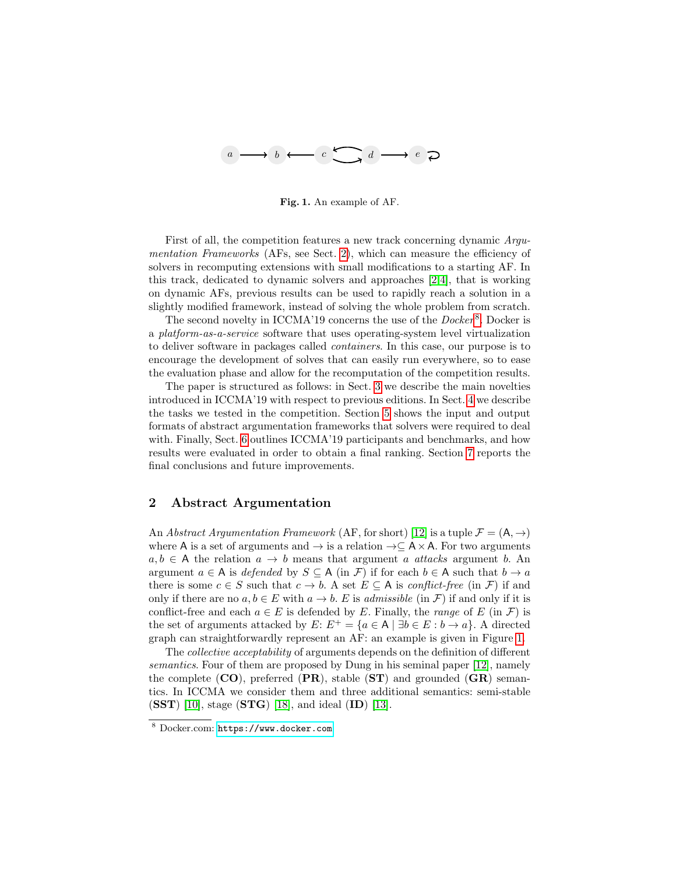

<span id="page-1-2"></span>Fig. 1. An example of AF.

First of all, the competition features a new track concerning dynamic Argu-mentation Frameworks (AFs, see Sect. [2\)](#page-1-0), which can measure the efficiency of solvers in recomputing extensions with small modifications to a starting AF. In this track, dedicated to dynamic solvers and approaches [\[2,](#page-11-0)[4\]](#page-11-1), that is working on dynamic AFs, previous results can be used to rapidly reach a solution in a slightly modified framework, instead of solving the whole problem from scratch.

The second novelty in ICCMA'19 concerns the use of the  ${Docker}^8$  ${Docker}^8$ . Docker is a platform-as-a-service software that uses operating-system level virtualization to deliver software in packages called containers. In this case, our purpose is to encourage the development of solves that can easily run everywhere, so to ease the evaluation phase and allow for the recomputation of the competition results.

The paper is structured as follows: in Sect. [3](#page-2-0) we describe the main novelties introduced in ICCMA'19 with respect to previous editions. In Sect. [4](#page-4-0) we describe the tasks we tested in the competition. Section [5](#page-5-0) shows the input and output formats of abstract argumentation frameworks that solvers were required to deal with. Finally, Sect. [6](#page-8-0) outlines ICCMA'19 participants and benchmarks, and how results were evaluated in order to obtain a final ranking. Section [7](#page-11-2) reports the final conclusions and future improvements.

# <span id="page-1-0"></span>2 Abstract Argumentation

An Abstract Argumentation Framework (AF, for short) [\[12\]](#page-12-0) is a tuple  $\mathcal{F} = (\mathsf{A}, \rightarrow)$ where A is a set of arguments and  $\rightarrow$  is a relation  $\rightarrow \subseteq A \times A$ . For two arguments  $a, b \in A$  the relation  $a \to b$  means that argument a attacks argument b. An argument  $a \in A$  is defended by  $S \subseteq A$  (in F) if for each  $b \in A$  such that  $b \to a$ there is some  $c \in S$  such that  $c \to b$ . A set  $E \subseteq A$  is *conflict-free* (in  $\mathcal{F}$ ) if and only if there are no  $a, b \in E$  with  $a \to b$ . E is *admissible* (in F) if and only if it is conflict-free and each  $a \in E$  is defended by E. Finally, the *range* of E (in F) is the set of arguments attacked by  $E: E^+ = \{a \in A \mid \exists b \in E : b \to a\}.$  A directed graph can straightforwardly represent an AF: an example is given in Figure [1.](#page-1-2)

The collective acceptability of arguments depends on the definition of different semantics. Four of them are proposed by Dung in his seminal paper [\[12\]](#page-12-0), namely the complete  $(CO)$ , preferred  $(PR)$ , stable  $(ST)$  and grounded  $(GR)$  semantics. In ICCMA we consider them and three additional semantics: semi-stable  $(SST)$  [\[10\]](#page-12-1), stage  $(STG)$  [\[18\]](#page-12-2), and ideal  $(ID)$  [\[13\]](#page-12-3).

<span id="page-1-1"></span><sup>8</sup> Docker.com: <https://www.docker.com>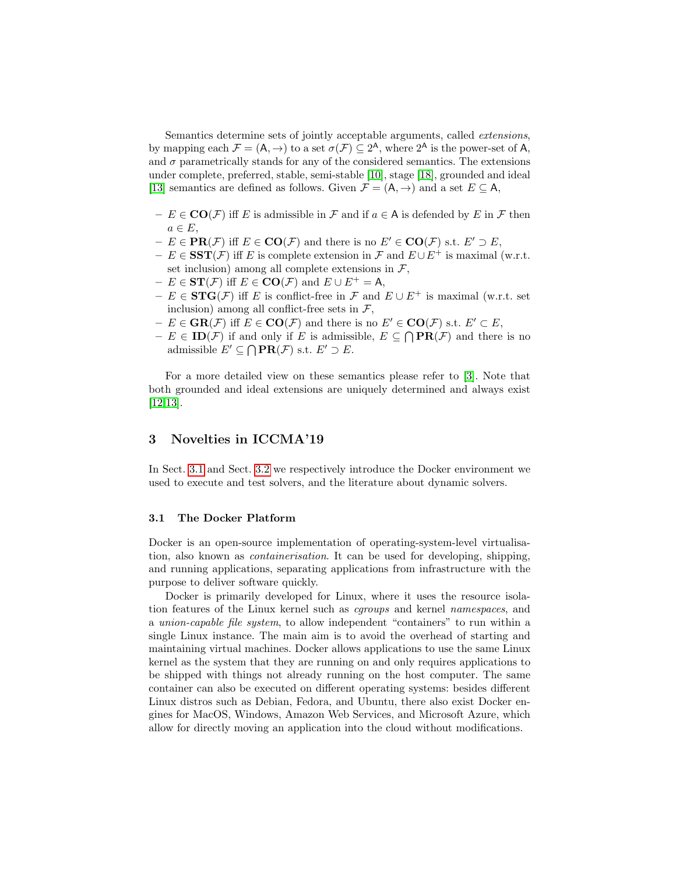Semantics determine sets of jointly acceptable arguments, called extensions, by mapping each  $\mathcal{F} = (A, \rightarrow)$  to a set  $\sigma(\mathcal{F}) \subseteq 2^A$ , where  $2^A$  is the power-set of A, and  $\sigma$  parametrically stands for any of the considered semantics. The extensions under complete, preferred, stable, semi-stable [\[10\]](#page-12-1), stage [\[18\]](#page-12-2), grounded and ideal [\[13\]](#page-12-3) semantics are defined as follows. Given  $\mathcal{F} = (A, \rightarrow)$  and a set  $E \subseteq A$ ,

- $E \in \mathbf{CO}(\mathcal{F})$  iff E is admissible in  $\mathcal{F}$  and if  $a \in A$  is defended by E in  $\mathcal{F}$  then  $a \in E$ ,
- $E \in \textbf{PR}(\mathcal{F})$  iff  $E \in \textbf{CO}(\mathcal{F})$  and there is no  $E' \in \textbf{CO}(\mathcal{F})$  s.t.  $E' \supset E$ ,
- $E \in \mathbf{SST}(\mathcal{F})$  iff E is complete extension in  $\mathcal{F}$  and  $E \cup E^+$  is maximal (w.r.t. set inclusion) among all complete extensions in  $\mathcal{F}$ ,
- $E \in ST(\mathcal{F})$  iff  $E \in \mathbf{CO}(\mathcal{F})$  and  $E \cup E^+ = A$ ,
- $E \in \text{STG}(\mathcal{F})$  iff E is conflict-free in F and  $E \cup E^+$  is maximal (w.r.t. set inclusion) among all conflict-free sets in  $\mathcal{F}$ ,
- $-E \in \text{GR}(\mathcal{F})$  iff  $E \in \text{CO}(\mathcal{F})$  and there is no  $E' \in \text{CO}(\mathcal{F})$  s.t.  $E' \subset E$ ,
- $-E \in ID(\mathcal{F})$  if and only if E is admissible,  $E \subseteq \bigcap \textbf{PR}(\mathcal{F})$  and there is no admissible  $E' \subseteq \bigcap \textbf{PR}(\mathcal{F})$  s.t.  $E' \supset E$ .

For a more detailed view on these semantics please refer to [\[3\]](#page-11-3). Note that both grounded and ideal extensions are uniquely determined and always exist [\[12](#page-12-0)[,13\]](#page-12-3).

### <span id="page-2-0"></span>3 Novelties in ICCMA'19

In Sect. [3.1](#page-2-1) and Sect. [3.2](#page-3-0) we respectively introduce the Docker environment we used to execute and test solvers, and the literature about dynamic solvers.

#### <span id="page-2-1"></span>3.1 The Docker Platform

Docker is an open-source implementation of operating-system-level virtualisation, also known as containerisation. It can be used for developing, shipping, and running applications, separating applications from infrastructure with the purpose to deliver software quickly.

Docker is primarily developed for Linux, where it uses the resource isolation features of the Linux kernel such as cgroups and kernel namespaces, and a union-capable file system, to allow independent "containers" to run within a single Linux instance. The main aim is to avoid the overhead of starting and maintaining virtual machines. Docker allows applications to use the same Linux kernel as the system that they are running on and only requires applications to be shipped with things not already running on the host computer. The same container can also be executed on different operating systems: besides different Linux distros such as Debian, Fedora, and Ubuntu, there also exist Docker engines for MacOS, Windows, Amazon Web Services, and Microsoft Azure, which allow for directly moving an application into the cloud without modifications.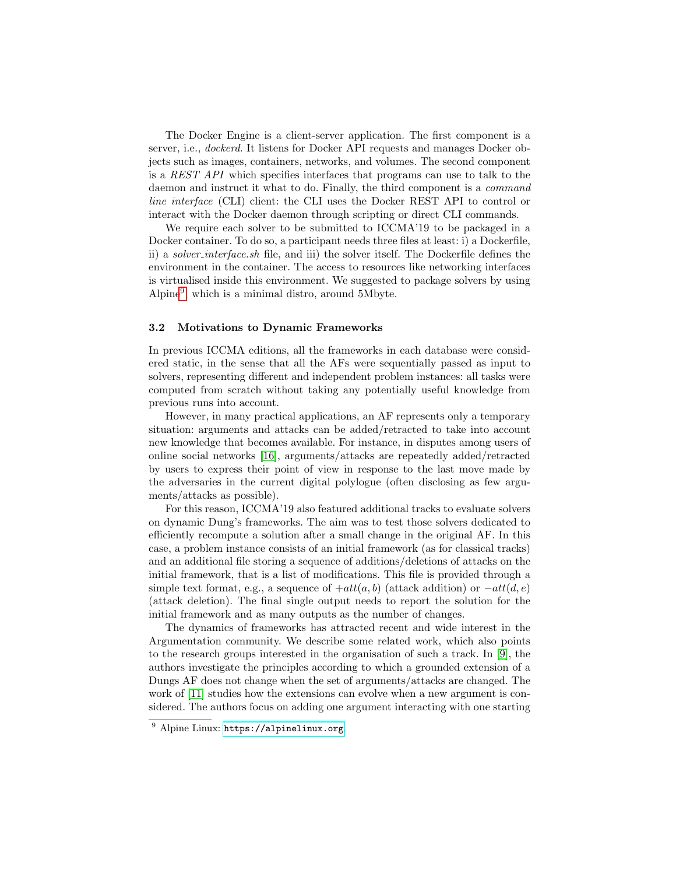The Docker Engine is a client-server application. The first component is a server, i.e., dockerd. It listens for Docker API requests and manages Docker objects such as images, containers, networks, and volumes. The second component is a REST API which specifies interfaces that programs can use to talk to the daemon and instruct it what to do. Finally, the third component is a command line interface (CLI) client: the CLI uses the Docker REST API to control or interact with the Docker daemon through scripting or direct CLI commands.

We require each solver to be submitted to ICCMA'19 to be packaged in a Docker container. To do so, a participant needs three files at least: i) a Dockerfile, ii) a solver interface.sh file, and iii) the solver itself. The Dockerfile defines the environment in the container. The access to resources like networking interfaces is virtualised inside this environment. We suggested to package solvers by using Alpine[9](#page-3-1) , which is a minimal distro, around 5Mbyte.

#### <span id="page-3-0"></span>3.2 Motivations to Dynamic Frameworks

In previous ICCMA editions, all the frameworks in each database were considered static, in the sense that all the AFs were sequentially passed as input to solvers, representing different and independent problem instances: all tasks were computed from scratch without taking any potentially useful knowledge from previous runs into account.

However, in many practical applications, an AF represents only a temporary situation: arguments and attacks can be added/retracted to take into account new knowledge that becomes available. For instance, in disputes among users of online social networks [\[16\]](#page-12-4), arguments/attacks are repeatedly added/retracted by users to express their point of view in response to the last move made by the adversaries in the current digital polylogue (often disclosing as few arguments/attacks as possible).

For this reason, ICCMA'19 also featured additional tracks to evaluate solvers on dynamic Dung's frameworks. The aim was to test those solvers dedicated to efficiently recompute a solution after a small change in the original AF. In this case, a problem instance consists of an initial framework (as for classical tracks) and an additional file storing a sequence of additions/deletions of attacks on the initial framework, that is a list of modifications. This file is provided through a simple text format, e.g., a sequence of  $+att(a, b)$  (attack addition) or  $-att(d, e)$ (attack deletion). The final single output needs to report the solution for the initial framework and as many outputs as the number of changes.

The dynamics of frameworks has attracted recent and wide interest in the Argumentation community. We describe some related work, which also points to the research groups interested in the organisation of such a track. In [\[9\]](#page-12-5), the authors investigate the principles according to which a grounded extension of a Dungs AF does not change when the set of arguments/attacks are changed. The work of [\[11\]](#page-12-6) studies how the extensions can evolve when a new argument is considered. The authors focus on adding one argument interacting with one starting

<span id="page-3-1"></span><sup>9</sup> Alpine Linux: <https://alpinelinux.org>.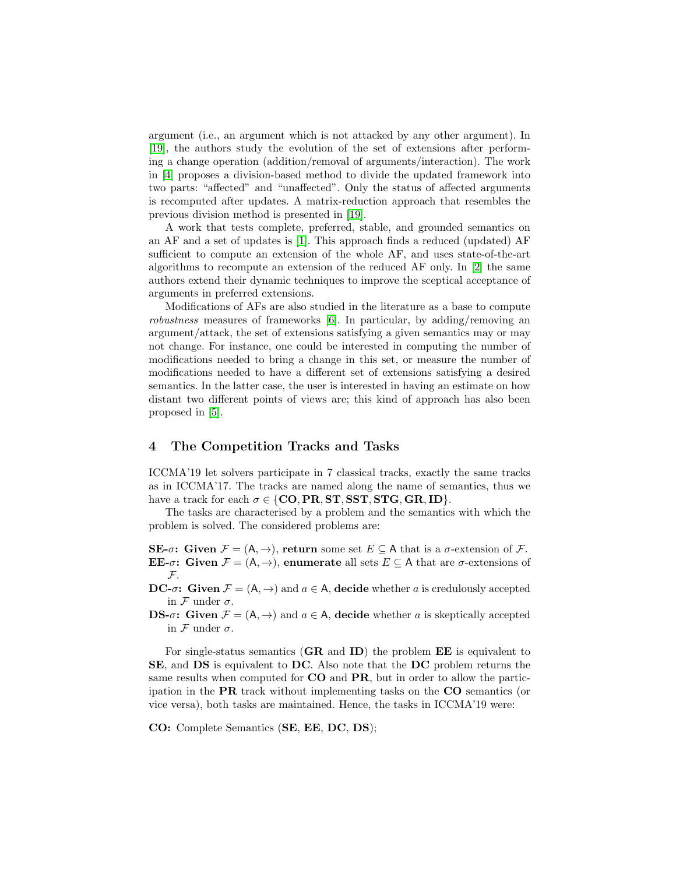argument (i.e., an argument which is not attacked by any other argument). In [\[19\]](#page-12-7), the authors study the evolution of the set of extensions after performing a change operation (addition/removal of arguments/interaction). The work in [\[4\]](#page-11-1) proposes a division-based method to divide the updated framework into two parts: "affected" and "unaffected". Only the status of affected arguments is recomputed after updates. A matrix-reduction approach that resembles the previous division method is presented in [\[19\]](#page-12-7).

A work that tests complete, preferred, stable, and grounded semantics on an AF and a set of updates is [\[1\]](#page-11-4). This approach finds a reduced (updated) AF sufficient to compute an extension of the whole AF, and uses state-of-the-art algorithms to recompute an extension of the reduced AF only. In [\[2\]](#page-11-0) the same authors extend their dynamic techniques to improve the sceptical acceptance of arguments in preferred extensions.

Modifications of AFs are also studied in the literature as a base to compute robustness measures of frameworks [\[6\]](#page-12-8). In particular, by adding/removing an argument/attack, the set of extensions satisfying a given semantics may or may not change. For instance, one could be interested in computing the number of modifications needed to bring a change in this set, or measure the number of modifications needed to have a different set of extensions satisfying a desired semantics. In the latter case, the user is interested in having an estimate on how distant two different points of views are; this kind of approach has also been proposed in [\[5\]](#page-12-9).

### <span id="page-4-0"></span>4 The Competition Tracks and Tasks

ICCMA'19 let solvers participate in 7 classical tracks, exactly the same tracks as in ICCMA'17. The tracks are named along the name of semantics, thus we have a track for each  $\sigma \in \{CO, PR, ST, SST, STG, GR, ID\}.$ 

The tasks are characterised by a problem and the semantics with which the problem is solved. The considered problems are:

SE- $\sigma$ : Given  $\mathcal{F} = (A, \rightarrow)$ , return some set  $E \subseteq A$  that is a  $\sigma$ -extension of  $\mathcal{F}$ . **EE-** $\sigma$ : Given  $\mathcal{F} = (A, \rightarrow)$ , enumerate all sets  $E \subset A$  that are  $\sigma$ -extensions of F.

**DC-** $\sigma$ : Given  $\mathcal{F} = (A, \rightarrow)$  and  $a \in A$ , decide whether a is credulously accepted in  $\mathcal F$  under  $\sigma$ .

**DS-** $\sigma$ : Given  $\mathcal{F} = (A, \rightarrow)$  and  $a \in A$ , decide whether a is skeptically accepted in  $\mathcal F$  under  $\sigma$ .

For single-status semantics  $(GR \text{ and } ID)$  the problem  $EE$  is equivalent to SE, and DS is equivalent to DC. Also note that the DC problem returns the same results when computed for **CO** and **PR**, but in order to allow the participation in the PR track without implementing tasks on the CO semantics (or vice versa), both tasks are maintained. Hence, the tasks in ICCMA'19 were:

CO: Complete Semantics (SE, EE, DC, DS);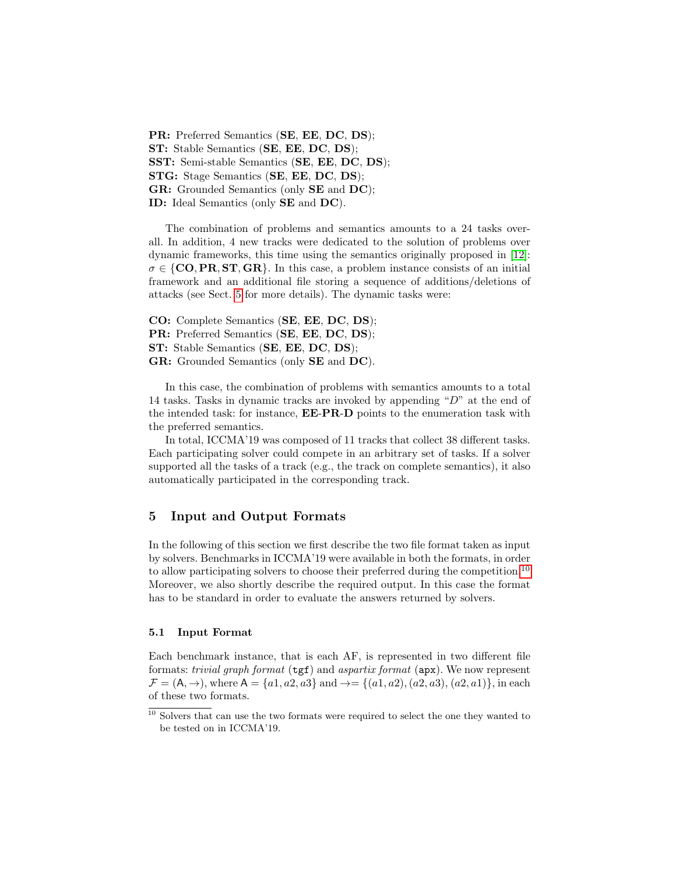PR: Preferred Semantics (SE, EE, DC, DS); ST: Stable Semantics (SE, EE, DC, DS); SST: Semi-stable Semantics (SE, EE, DC, DS); STG: Stage Semantics (SE, EE, DC, DS); GR: Grounded Semantics (only SE and DC); ID: Ideal Semantics (only SE and DC).

The combination of problems and semantics amounts to a 24 tasks overall. In addition, 4 new tracks were dedicated to the solution of problems over dynamic frameworks, this time using the semantics originally proposed in [\[12\]](#page-12-0):  $\sigma \in \{CO, PR, ST, GR\}$ . In this case, a problem instance consists of an initial framework and an additional file storing a sequence of additions/deletions of attacks (see Sect. [5](#page-5-0) for more details). The dynamic tasks were:

CO: Complete Semantics (SE, EE, DC, DS); PR: Preferred Semantics (SE, EE, DC, DS); ST: Stable Semantics (SE, EE, DC, DS); GR: Grounded Semantics (only SE and DC).

In this case, the combination of problems with semantics amounts to a total 14 tasks. Tasks in dynamic tracks are invoked by appending "D" at the end of the intended task: for instance, EE-PR-D points to the enumeration task with the preferred semantics.

In total, ICCMA'19 was composed of 11 tracks that collect 38 different tasks. Each participating solver could compete in an arbitrary set of tasks. If a solver supported all the tasks of a track (e.g., the track on complete semantics), it also automatically participated in the corresponding track.

### <span id="page-5-0"></span>5 Input and Output Formats

In the following of this section we first describe the two file format taken as input by solvers. Benchmarks in ICCMA'19 were available in both the formats, in order to allow participating solvers to choose their preferred during the competition.<sup>[10](#page-5-1)</sup> Moreover, we also shortly describe the required output. In this case the format has to be standard in order to evaluate the answers returned by solvers.

### 5.1 Input Format

Each benchmark instance, that is each AF, is represented in two different file formats: *trivial graph format* ( $tgt$ ) and *aspartix format* ( $apx$ ). We now represent  $\mathcal{F} = (A, \rightarrow)$ , where  $A = \{a1, a2, a3\}$  and  $\rightarrow = \{(a1, a2), (a2, a3), (a2, a1)\}$ , in each of these two formats.

<span id="page-5-1"></span> $^{10}$  Solvers that can use the two formats were required to select the one they wanted to be tested on in ICCMA'19.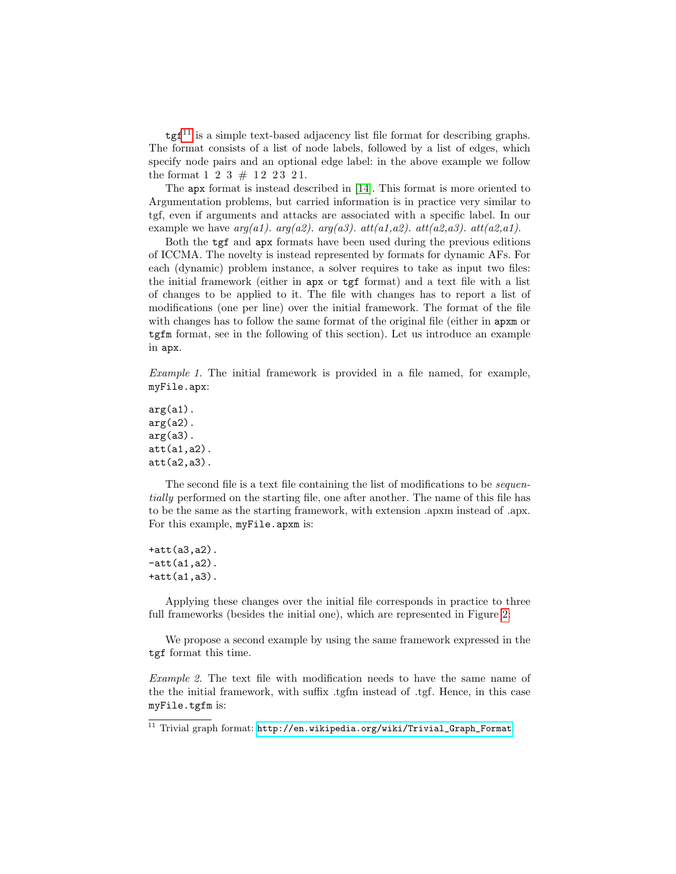$\text{tgf}^{11}$  $\text{tgf}^{11}$  $\text{tgf}^{11}$  is a simple text-based adjacency list file format for describing graphs. The format consists of a list of node labels, followed by a list of edges, which specify node pairs and an optional edge label: in the above example we follow the format  $1\ 2\ 3\ \# \ 12\ 23\ 21$ .

The apx format is instead described in [\[14\]](#page-12-10). This format is more oriented to Argumentation problems, but carried information is in practice very similar to tgf, even if arguments and attacks are associated with a specific label. In our example we have  $arg(a1)$ .  $arg(a2)$ .  $arg(a3)$ .  $att(a1, a2)$ .  $att(a2, a3)$ .  $att(a2, a1)$ .

Both the tgf and apx formats have been used during the previous editions of ICCMA. The novelty is instead represented by formats for dynamic AFs. For each (dynamic) problem instance, a solver requires to take as input two files: the initial framework (either in apx or tgf format) and a text file with a list of changes to be applied to it. The file with changes has to report a list of modifications (one per line) over the initial framework. The format of the file with changes has to follow the same format of the original file (either in  $apxm$  or tgfm format, see in the following of this section). Let us introduce an example in apx.

Example 1. The initial framework is provided in a file named, for example, myFile.apx:

 $arg(a1)$ .  $arg(a2)$ .  $arg(a3)$ . att(a1,a2). att(a2,a3).

The second file is a text file containing the list of modifications to be *sequen*tially performed on the starting file, one after another. The name of this file has to be the same as the starting framework, with extension .apxm instead of .apx. For this example, myFile.apxm is:

+att(a3,a2).  $-att(a1,a2)$ . +att(a1,a3).

Applying these changes over the initial file corresponds in practice to three full frameworks (besides the initial one), which are represented in Figure [2:](#page-7-0)

We propose a second example by using the same framework expressed in the tgf format this time.

Example 2. The text file with modification needs to have the same name of the the initial framework, with suffix .tgfm instead of .tgf. Hence, in this case myFile.tgfm is:

<span id="page-6-0"></span><sup>&</sup>lt;sup>11</sup> Trivial graph format:  $http://en.wikipedia.org/wiki/Trivial_Graph_Format.$  $http://en.wikipedia.org/wiki/Trivial_Graph_Format.$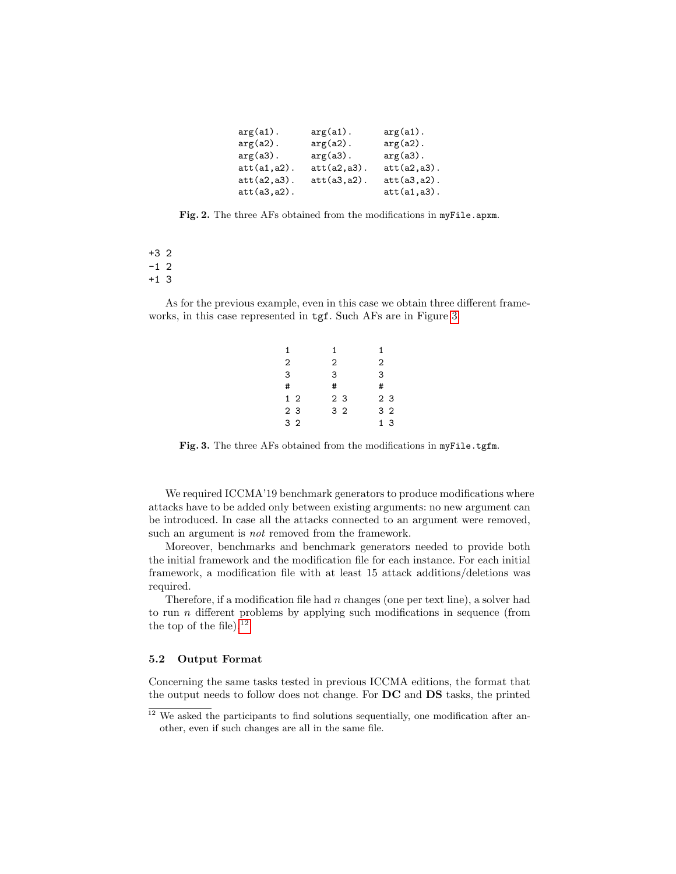| $arg(a1)$ .     | $arg(a1)$ .     | $arg(a1)$ .     |
|-----------------|-----------------|-----------------|
| $arg(a2)$ .     | $arg(a2)$ .     | $arg(a2)$ .     |
| $arg(a3)$ .     | $arg(a3)$ .     | $arg(a3)$ .     |
| $att(a1, a2)$ . | $att(a2, a3)$ . | $att(a2, a3)$ . |
| $att(a2, a3)$ . | $att(a3, a2)$ . | $att(a3, a2)$ . |
| $att(a3, a2)$ . |                 | $att(a1, a3)$ . |

<span id="page-7-0"></span>Fig. 2. The three AFs obtained from the modifications in myFile.apxm.

+3 2  $-1$  2 +1 3

As for the previous example, even in this case we obtain three different frameworks, in this case represented in tgf. Such AFs are in Figure [3.](#page-7-1)

| 1              | 1              | 1      |
|----------------|----------------|--------|
| 2              | 2              | 2      |
| 3              | 3              | 3      |
| #              | #              | #      |
| 1 <sub>2</sub> | 2 <sub>3</sub> | 23     |
| 2 <sub>3</sub> | 3 <sub>2</sub> | 32     |
| 3 <sub>2</sub> |                | 3<br>1 |

<span id="page-7-1"></span>Fig. 3. The three AFs obtained from the modifications in myFile.tgfm.

We required ICCMA'19 benchmark generators to produce modifications where attacks have to be added only between existing arguments: no new argument can be introduced. In case all the attacks connected to an argument were removed, such an argument is *not* removed from the framework.

Moreover, benchmarks and benchmark generators needed to provide both the initial framework and the modification file for each instance. For each initial framework, a modification file with at least 15 attack additions/deletions was required.

Therefore, if a modification file had  $n$  changes (one per text line), a solver had to run  $n$  different problems by applying such modifications in sequence (from the top of the file).<sup>[12](#page-7-2)</sup>

### 5.2 Output Format

Concerning the same tasks tested in previous ICCMA editions, the format that the output needs to follow does not change. For DC and DS tasks, the printed

<span id="page-7-2"></span> $12$  We asked the participants to find solutions sequentially, one modification after another, even if such changes are all in the same file.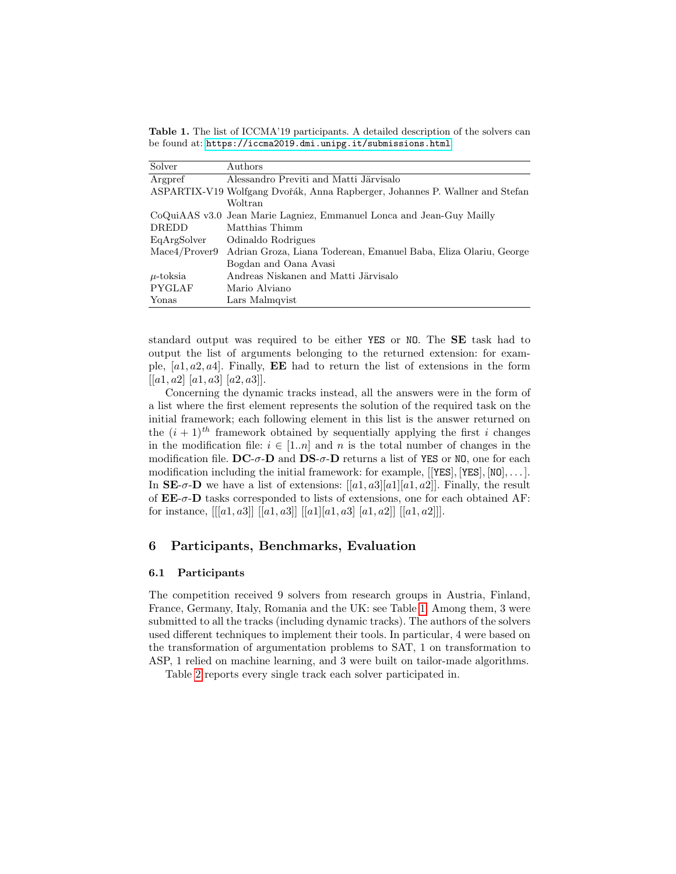<span id="page-8-1"></span>Table 1. The list of ICCMA'19 participants. A detailed description of the solvers can be found at: <https://iccma2019.dmi.unipg.it/submissions.html>.

| Solver        | Authors                                                                      |
|---------------|------------------------------------------------------------------------------|
| Argpref       | Alessandro Previti and Matti Järvisalo                                       |
|               | ASPARTIX-V19 Wolfgang Dvořák, Anna Rapberger, Johannes P. Wallner and Stefan |
|               | Woltran                                                                      |
|               | CoQuiAAS v3.0 Jean Marie Lagniez, Emmanuel Lonca and Jean-Guy Mailly         |
| DREDD         | Matthias Thimm                                                               |
| EqArgSolver   | Odinaldo Rodrigues                                                           |
| Mace4/Prover9 | Adrian Groza, Liana Toderean, Emanuel Baba, Eliza Olariu, George             |
|               | Bogdan and Oana Avasi                                                        |
| $\mu$ -toksia | Andreas Niskanen and Matti Järvisalo                                         |
| <b>PYGLAF</b> | Mario Alviano                                                                |
| Yonas         | Lars Malmqvist                                                               |

standard output was required to be either YES or NO. The SE task had to output the list of arguments belonging to the returned extension: for example,  $[a1, a2, a4]$ . Finally, **EE** had to return the list of extensions in the form  $[[a1, a2] [a1, a3] [a2, a3]].$ 

Concerning the dynamic tracks instead, all the answers were in the form of a list where the first element represents the solution of the required task on the initial framework; each following element in this list is the answer returned on the  $(i + 1)^{th}$  framework obtained by sequentially applying the first i changes in the modification file:  $i \in [1..n]$  and n is the total number of changes in the modification file.  $DC-\sigma$ -D and  $DS-\sigma$ -D returns a list of YES or NO, one for each modification including the initial framework: for example,  $[[YES], [YES], [NO], \ldots]$ . In  $\mathbf{SE}\text{-}\sigma\text{-}\mathbf{D}$  we have a list of extensions:  $[[a1, a3][a1][a1, a2]]$ . Finally, the result of  $EE$ - $\sigma$ - $D$  tasks corresponded to lists of extensions, one for each obtained AF: for instance,  $[[a1, a3]][a1, a3]][a1][a1, a3][a1, a2][[a1, a2]]$ .

# <span id="page-8-0"></span>6 Participants, Benchmarks, Evaluation

#### 6.1 Participants

The competition received 9 solvers from research groups in Austria, Finland, France, Germany, Italy, Romania and the UK: see Table [1.](#page-8-1) Among them, 3 were submitted to all the tracks (including dynamic tracks). The authors of the solvers used different techniques to implement their tools. In particular, 4 were based on the transformation of argumentation problems to SAT, 1 on transformation to ASP, 1 relied on machine learning, and 3 were built on tailor-made algorithms.

Table [2](#page-9-0) reports every single track each solver participated in.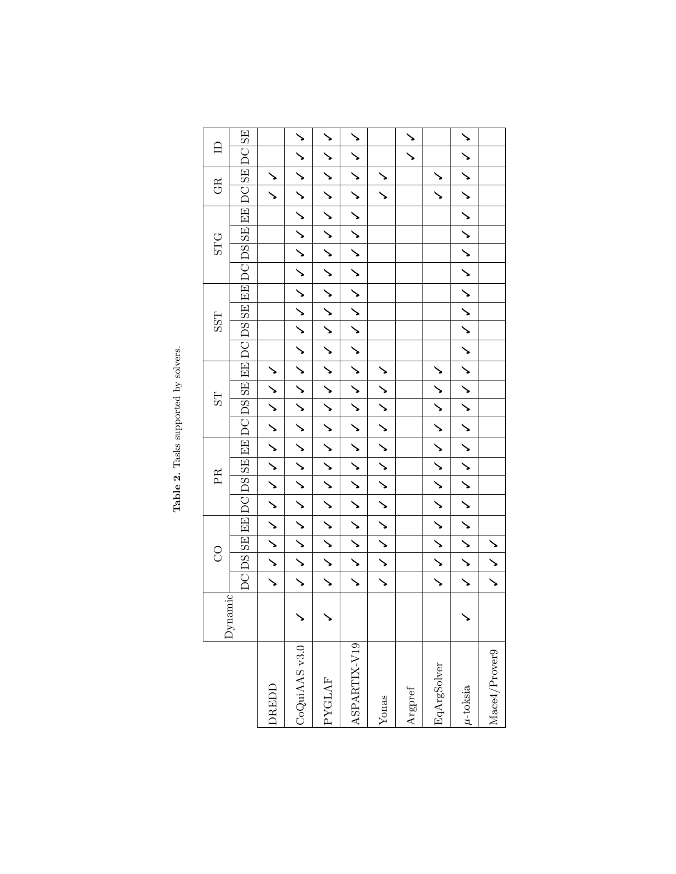<span id="page-9-0"></span>

| DC DS SE EE DC DS SE EE DC DS SE EE DC DS SE EE DC SSE EE DC DS SE EE DC SE DC SE<br>ノ ノ ノ ノ ノ ノ ノ ノ ノ ノ ノ ノ ノ ノ イ イ イ <br>ノ ノ ノ ノ ノ ノ ノ ノ ノ ノ ノ ノ ノ ノ ノ ノ ノ ノ ノ |
|------------------------------------------------------------------------------------------------------------------------------------------------------------------|
|                                                                                                                                                                  |
|                                                                                                                                                                  |
|                                                                                                                                                                  |
|                                                                                                                                                                  |
|                                                                                                                                                                  |
|                                                                                                                                                                  |
|                                                                                                                                                                  |
|                                                                                                                                                                  |
|                                                                                                                                                                  |
|                                                                                                                                                                  |
|                                                                                                                                                                  |
| $\checkmark$                                                                                                                                                     |

Table 2. Tasks supported by solvers. Table 2. Tasks supported by solvers.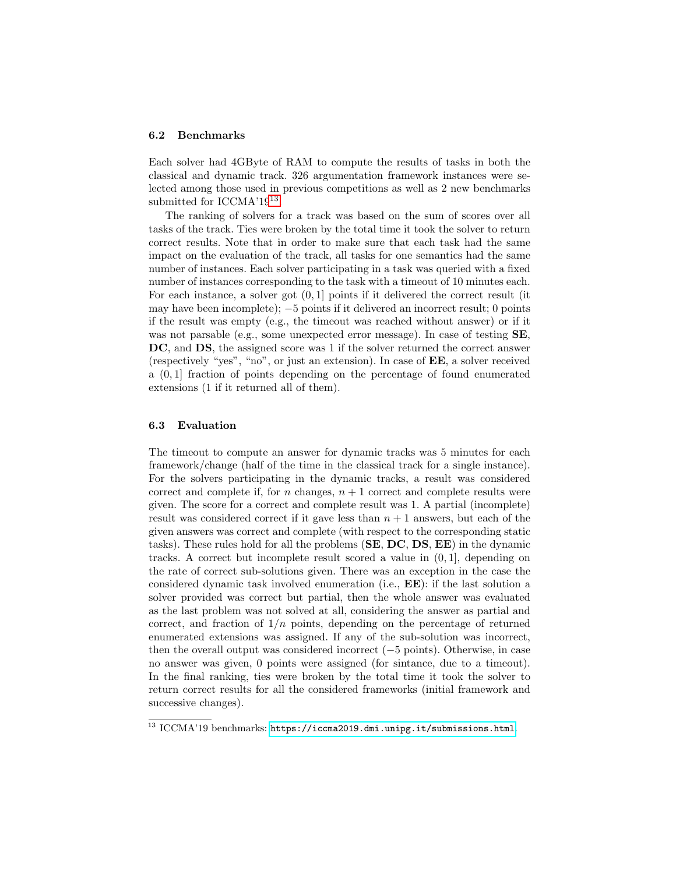#### 6.2 Benchmarks

Each solver had 4GByte of RAM to compute the results of tasks in both the classical and dynamic track. 326 argumentation framework instances were selected among those used in previous competitions as well as 2 new benchmarks submitted for ICCMA'19<sup>[13](#page-10-0)</sup>.

The ranking of solvers for a track was based on the sum of scores over all tasks of the track. Ties were broken by the total time it took the solver to return correct results. Note that in order to make sure that each task had the same impact on the evaluation of the track, all tasks for one semantics had the same number of instances. Each solver participating in a task was queried with a fixed number of instances corresponding to the task with a timeout of 10 minutes each. For each instance, a solver got (0, 1] points if it delivered the correct result (it may have been incomplete);  $-5$  points if it delivered an incorrect result; 0 points if the result was empty (e.g., the timeout was reached without answer) or if it was not parsable (e.g., some unexpected error message). In case of testing **SE**, DC, and DS, the assigned score was 1 if the solver returned the correct answer (respectively "yes", "no", or just an extension). In case of EE, a solver received a  $(0, 1]$  fraction of points depending on the percentage of found enumerated extensions (1 if it returned all of them).

### 6.3 Evaluation

The timeout to compute an answer for dynamic tracks was 5 minutes for each framework/change (half of the time in the classical track for a single instance). For the solvers participating in the dynamic tracks, a result was considered correct and complete if, for n changes,  $n + 1$  correct and complete results were given. The score for a correct and complete result was 1. A partial (incomplete) result was considered correct if it gave less than  $n + 1$  answers, but each of the given answers was correct and complete (with respect to the corresponding static tasks). These rules hold for all the problems (SE, DC, DS, EE) in the dynamic tracks. A correct but incomplete result scored a value in (0, 1], depending on the rate of correct sub-solutions given. There was an exception in the case the considered dynamic task involved enumeration (i.e., EE): if the last solution a solver provided was correct but partial, then the whole answer was evaluated as the last problem was not solved at all, considering the answer as partial and correct, and fraction of  $1/n$  points, depending on the percentage of returned enumerated extensions was assigned. If any of the sub-solution was incorrect, then the overall output was considered incorrect (−5 points). Otherwise, in case no answer was given, 0 points were assigned (for sintance, due to a timeout). In the final ranking, ties were broken by the total time it took the solver to return correct results for all the considered frameworks (initial framework and successive changes).

<span id="page-10-0"></span><sup>&</sup>lt;sup>13</sup> ICCMA'19 benchmarks: <https://iccma2019.dmi.unipg.it/submissions.html>.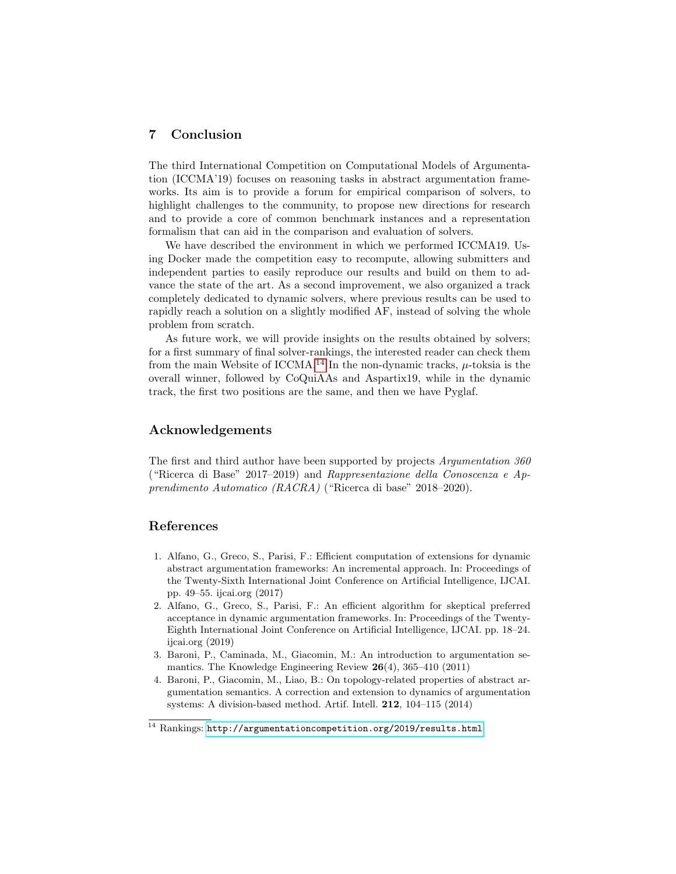# <span id="page-11-2"></span>7 Conclusion

The third International Competition on Computational Models of Argumentation (ICCMA'19) focuses on reasoning tasks in abstract argumentation frameworks. Its aim is to provide a forum for empirical comparison of solvers, to highlight challenges to the community, to propose new directions for research and to provide a core of common benchmark instances and a representation formalism that can aid in the comparison and evaluation of solvers.

We have described the environment in which we performed ICCMA19. Using Docker made the competition easy to recompute, allowing submitters and independent parties to easily reproduce our results and build on them to advance the state of the art. As a second improvement, we also organized a track completely dedicated to dynamic solvers, where previous results can be used to rapidly reach a solution on a slightly modified AF, instead of solving the whole problem from scratch.

As future work, we will provide insights on the results obtained by solvers; for a first summary of final solver-rankings, the interested reader can check them from the main Website of ICCMA.<sup>[14](#page-11-5)</sup> In the non-dynamic tracks,  $\mu$ -toksia is the overall winner, followed by CoQuiAAs and Aspartix19, while in the dynamic track, the first two positions are the same, and then we have Pyglaf.

### Acknowledgements

The first and third author have been supported by projects Argumentation 360 ("Ricerca di Base" 2017–2019) and Rappresentazione della Conoscenza e Apprendimento Automatico (RACRA) ("Ricerca di base" 2018–2020).

### References

- <span id="page-11-4"></span>1. Alfano, G., Greco, S., Parisi, F.: Efficient computation of extensions for dynamic abstract argumentation frameworks: An incremental approach. In: Proceedings of the Twenty-Sixth International Joint Conference on Artificial Intelligence, IJCAI. pp. 49–55. ijcai.org (2017)
- <span id="page-11-0"></span>2. Alfano, G., Greco, S., Parisi, F.: An efficient algorithm for skeptical preferred acceptance in dynamic argumentation frameworks. In: Proceedings of the Twenty-Eighth International Joint Conference on Artificial Intelligence, IJCAI. pp. 18–24. ijcai.org (2019)
- <span id="page-11-3"></span>3. Baroni, P., Caminada, M., Giacomin, M.: An introduction to argumentation semantics. The Knowledge Engineering Review 26(4), 365–410 (2011)
- <span id="page-11-1"></span>4. Baroni, P., Giacomin, M., Liao, B.: On topology-related properties of abstract argumentation semantics. A correction and extension to dynamics of argumentation systems: A division-based method. Artif. Intell. 212, 104–115 (2014)

<span id="page-11-5"></span> $^{14}$  Rankings: <http://argumentationcompetition.org/2019/results.html>.